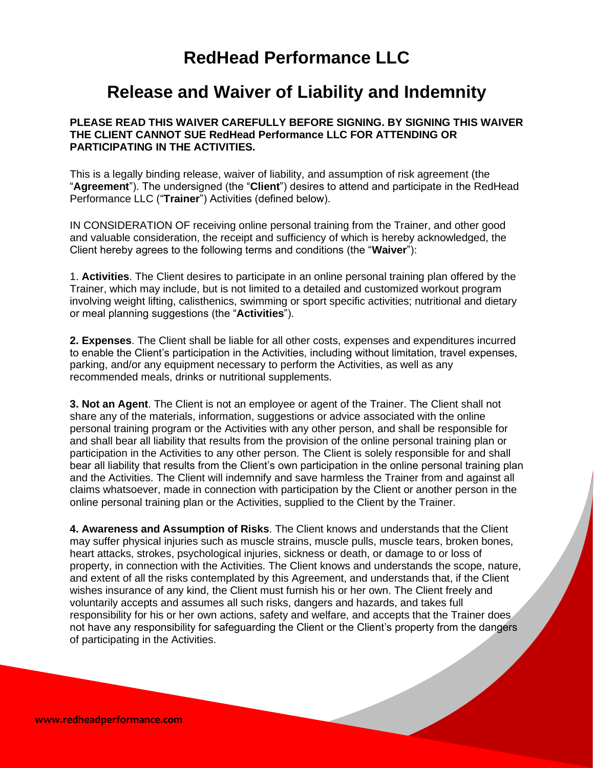## **RedHead Performance LLC**

## **Release and Waiver of Liability and Indemnity**

## **PLEASE READ THIS WAIVER CAREFULLY BEFORE SIGNING. BY SIGNING THIS WAIVER THE CLIENT CANNOT SUE RedHead Performance LLC FOR ATTENDING OR PARTICIPATING IN THE ACTIVITIES.**

This is a legally binding release, waiver of liability, and assumption of risk agreement (the "**Agreement**"). The undersigned (the "**Client**") desires to attend and participate in the RedHead Performance LLC ("**Trainer**") Activities (defined below).

IN CONSIDERATION OF receiving online personal training from the Trainer, and other good and valuable consideration, the receipt and sufficiency of which is hereby acknowledged, the Client hereby agrees to the following terms and conditions (the "**Waiver**"):

1. **Activities**. The Client desires to participate in an online personal training plan offered by the Trainer, which may include, but is not limited to a detailed and customized workout program involving weight lifting, calisthenics, swimming or sport specific activities; nutritional and dietary or meal planning suggestions (the "**Activities**").

**2. Expenses**. The Client shall be liable for all other costs, expenses and expenditures incurred to enable the Client's participation in the Activities, including without limitation, travel expenses, parking, and/or any equipment necessary to perform the Activities, as well as any recommended meals, drinks or nutritional supplements.

**3. Not an Agent**. The Client is not an employee or agent of the Trainer. The Client shall not share any of the materials, information, suggestions or advice associated with the online personal training program or the Activities with any other person, and shall be responsible for and shall bear all liability that results from the provision of the online personal training plan or participation in the Activities to any other person. The Client is solely responsible for and shall bear all liability that results from the Client's own participation in the online personal training plan and the Activities. The Client will indemnify and save harmless the Trainer from and against all claims whatsoever, made in connection with participation by the Client or another person in the online personal training plan or the Activities, supplied to the Client by the Trainer.

**4. Awareness and Assumption of Risks**. The Client knows and understands that the Client may suffer physical injuries such as muscle strains, muscle pulls, muscle tears, broken bones, heart attacks, strokes, psychological injuries, sickness or death, or damage to or loss of property, in connection with the Activities. The Client knows and understands the scope, nature, and extent of all the risks contemplated by this Agreement, and understands that, if the Client wishes insurance of any kind, the Client must furnish his or her own. The Client freely and voluntarily accepts and assumes all such risks, dangers and hazards, and takes full responsibility for his or her own actions, safety and welfare, and accepts that the Trainer does not have any responsibility for safeguarding the Client or the Client's property from the dangers of participating in the Activities.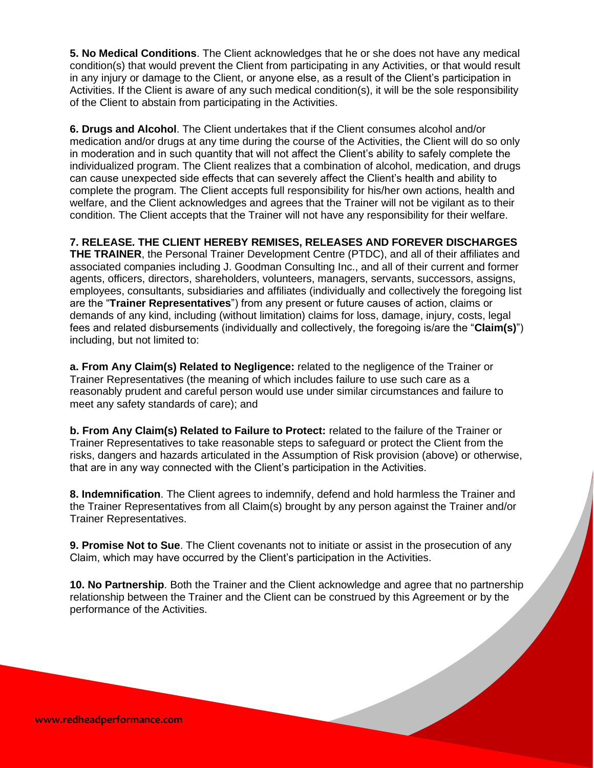**5. No Medical Conditions**. The Client acknowledges that he or she does not have any medical condition(s) that would prevent the Client from participating in any Activities, or that would result in any injury or damage to the Client, or anyone else, as a result of the Client's participation in Activities. If the Client is aware of any such medical condition(s), it will be the sole responsibility of the Client to abstain from participating in the Activities.

**6. Drugs and Alcohol**. The Client undertakes that if the Client consumes alcohol and/or medication and/or drugs at any time during the course of the Activities, the Client will do so only in moderation and in such quantity that will not affect the Client's ability to safely complete the individualized program. The Client realizes that a combination of alcohol, medication, and drugs can cause unexpected side effects that can severely affect the Client's health and ability to complete the program. The Client accepts full responsibility for his/her own actions, health and welfare, and the Client acknowledges and agrees that the Trainer will not be vigilant as to their condition. The Client accepts that the Trainer will not have any responsibility for their welfare.

**7. RELEASE. THE CLIENT HEREBY REMISES, RELEASES AND FOREVER DISCHARGES THE TRAINER**, the Personal Trainer Development Centre (PTDC), and all of their affiliates and associated companies including J. Goodman Consulting Inc., and all of their current and former agents, officers, directors, shareholders, volunteers, managers, servants, successors, assigns, employees, consultants, subsidiaries and affiliates (individually and collectively the foregoing list are the "**Trainer Representatives**") from any present or future causes of action, claims or demands of any kind, including (without limitation) claims for loss, damage, injury, costs, legal fees and related disbursements (individually and collectively, the foregoing is/are the "**Claim(s)**") including, but not limited to:

**a. From Any Claim(s) Related to Negligence:** related to the negligence of the Trainer or Trainer Representatives (the meaning of which includes failure to use such care as a reasonably prudent and careful person would use under similar circumstances and failure to meet any safety standards of care); and

**b. From Any Claim(s) Related to Failure to Protect:** related to the failure of the Trainer or Trainer Representatives to take reasonable steps to safeguard or protect the Client from the risks, dangers and hazards articulated in the Assumption of Risk provision (above) or otherwise, that are in any way connected with the Client's participation in the Activities.

**8. Indemnification**. The Client agrees to indemnify, defend and hold harmless the Trainer and the Trainer Representatives from all Claim(s) brought by any person against the Trainer and/or Trainer Representatives.

**9. Promise Not to Sue**. The Client covenants not to initiate or assist in the prosecution of any Claim, which may have occurred by the Client's participation in the Activities.

**10. No Partnership**. Both the Trainer and the Client acknowledge and agree that no partnership relationship between the Trainer and the Client can be construed by this Agreement or by the performance of the Activities.